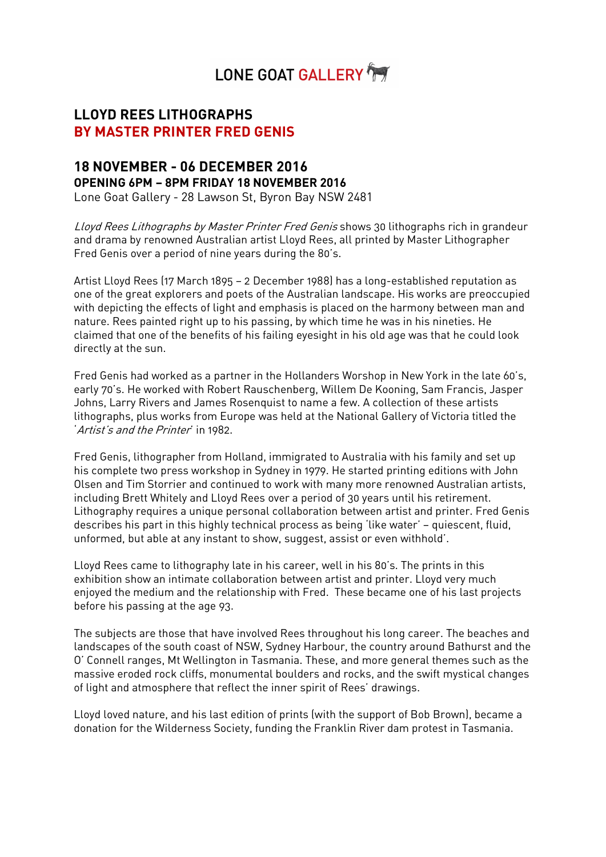# LONE GOAT GALLERY

## **LLOYD REES LITHOGRAPHS BY MASTER PRINTER FRED GENIS**

## **18 NOVEMBER - 06 DECEMBER 2016 OPENING 6PM – 8PM FRIDAY 18 NOVEMBER 2016**

Lone Goat Gallery - 28 Lawson St, Byron Bay NSW 2481

Lloyd Rees Lithographs by Master Printer Fred Genis shows 30 lithographs rich in grandeur and drama by renowned Australian artist Lloyd Rees, all printed by Master Lithographer Fred Genis over a period of nine years during the 80's.

Artist Lloyd Rees (17 March 1895 – 2 December 1988) has a long-established reputation as one of the great explorers and poets of the Australian landscape. His works are preoccupied with depicting the effects of light and emphasis is placed on the harmony between man and nature. Rees painted right up to his passing, by which time he was in his nineties. He claimed that one of the benefits of his failing eyesight in his old age was that he could look directly at the sun.

Fred Genis had worked as a partner in the Hollanders Worshop in New York in the late 60's, early 70's. He worked with Robert Rauschenberg, Willem De Kooning, Sam Francis, Jasper Johns, Larry Rivers and James Rosenquist to name a few. A collection of these artists lithographs, plus works from Europe was held at the National Gallery of Victoria titled the 'Artist's and the Printer' in 1982.

Fred Genis, lithographer from Holland, immigrated to Australia with his family and set up his complete two press workshop in Sydney in 1979. He started printing editions with John Olsen and Tim Storrier and continued to work with many more renowned Australian artists, including Brett Whitely and Lloyd Rees over a period of 30 years until his retirement. Lithography requires a unique personal collaboration between artist and printer. Fred Genis describes his part in this highly technical process as being 'like water' – quiescent, fluid, unformed, but able at any instant to show, suggest, assist or even withhold'.

Lloyd Rees came to lithography late in his career, well in his 80's. The prints in this exhibition show an intimate collaboration between artist and printer. Lloyd very much enjoyed the medium and the relationship with Fred. These became one of his last projects before his passing at the age 93.

The subjects are those that have involved Rees throughout his long career. The beaches and landscapes of the south coast of NSW, Sydney Harbour, the country around Bathurst and the O' Connell ranges, Mt Wellington in Tasmania. These, and more general themes such as the massive eroded rock cliffs, monumental boulders and rocks, and the swift mystical changes of light and atmosphere that reflect the inner spirit of Rees' drawings.

Lloyd loved nature, and his last edition of prints (with the support of Bob Brown), became a donation for the Wilderness Society, funding the Franklin River dam protest in Tasmania.